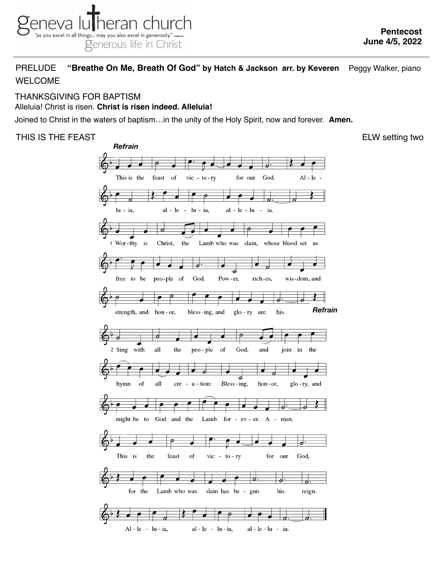## PRELUDE **"Breathe On Me, Breath Of God" by Hatch & Jackson arr. by Keveren** Peggy Walker, piano WELCOME

# THANKSGIVING FOR BAPTISM

#### Alleluia! Christ is risen. **Christ is risen indeed. Alleluia!**

 $\breve{\Phi}$ 

Joined to Christ in the waters of baptism…in the unity of the Holy Spirit, now and forever. **Amen.**



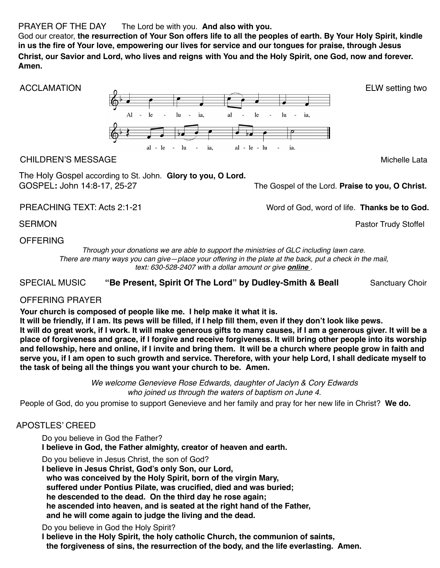### PRAYER OF THE DAY The Lord be with you. **And also with you.**

God our creator, **the resurrection of Your Son offers life to all the peoples of earth. By Your Holy Spirit, kindle in us the fire of Your love, empowering our lives for service and our tongues for praise, through Jesus Christ, our Savior and Lord, who lives and reigns with You and the Holy Spirit, one God, now and forever. Amen.**



### CHILDREN'S MESSAGEMichelle Lata

The Holy Gospel according to St. John. **Glory to you, O Lord.**  GOSPEL**:** John 14:8-17, 25-27 The Gospel of the Lord. **Praise to you, O Christ.**

PREACHING TEXT: Acts 2:1-21 *PREACHING TEXT: Acts 2:1-21 Word of God, word of life.* **Thanks be to God.** 

SERMON **Pastor Trudy Stoffel** 

#### OFFERING

*Through your donations we are able to support the ministries of GLC including lawn care. There are many ways you can give—place your offering in the plate at the back, put a check in the mail, text: 630-528-2407 with a dollar amount or give [online](https://secure.myvanco.com/YNE6) .*

SPECIAL MUSIC "Be Present, Spirit Of The Lord" by Dudley-Smith & Beall Sanctuary Choir

## OFFERING PRAYER

**Your church is composed of people like me. I help make it what it is.**

**It will be friendly, if I am. Its pews will be filled, if I help fill them, even if they don't look like pews. It will do great work, if I work. It will make generous gifts to many causes, if I am a generous giver. It will be a place of forgiveness and grace, if I forgive and receive forgiveness. It will bring other people into its worship and fellowship, here and online, if I invite and bring them. It will be a church where people grow in faith and serve you, if I am open to such growth and service. Therefore, with your help Lord, I shall dedicate myself to the task of being all the things you want your church to be. Amen.**

> *We welcome Genevieve Rose Edwards, daughter of Jaclyn & Cory Edwards who joined us through the waters of baptism on June 4.*

People of God, do you promise to support Genevieve and her family and pray for her new life in Christ? **We do.**

## APOSTLES' CREED

Do you believe in God the Father?

**I believe in God, the Father almighty, creator of heaven and earth.**

Do you believe in Jesus Christ, the son of God?

**I believe in Jesus Christ, God's only Son, our Lord,**

 **who was conceived by the Holy Spirit, born of the virgin Mary,**

 **suffered under Pontius Pilate, was crucified, died and was buried;**

 **he descended to the dead. On the third day he rose again;**

 **he ascended into heaven, and is seated at the right hand of the Father,**

 **and he will come again to judge the living and the dead.**

Do you believe in God the Holy Spirit?

**I believe in the Holy Spirit, the holy catholic Church, the communion of saints, the forgiveness of sins, the resurrection of the body, and the life everlasting. Amen.**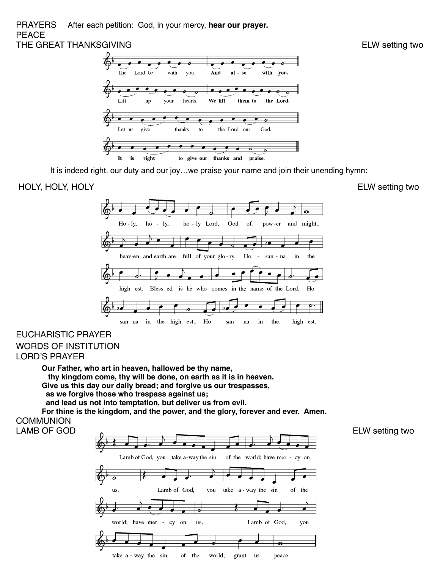#### PRAYERS After each petition: God, in your mercy, **hear our prayer.** PEACE THE GREAT THANKSGIVING **ELW SETTING**



It is indeed right, our duty and our joy…we praise your name and join their unending hymn:

#### HOLY, HOLY, HOLY **ELW** setting two



### EUCHARISTIC PRAYER WORDS OF INSTITUTION

LORD'S PRAYER

**Our Father, who art in heaven, hallowed be thy name, thy kingdom come, thy will be done, on earth as it is in heaven. Give us this day our daily bread; and forgive us our trespasses, as we forgive those who trespass against us; and lead us not into temptation, but deliver us from evil.**

**For thine is the kingdom, and the power, and the glory, forever and ever. Amen. COMMUNION**